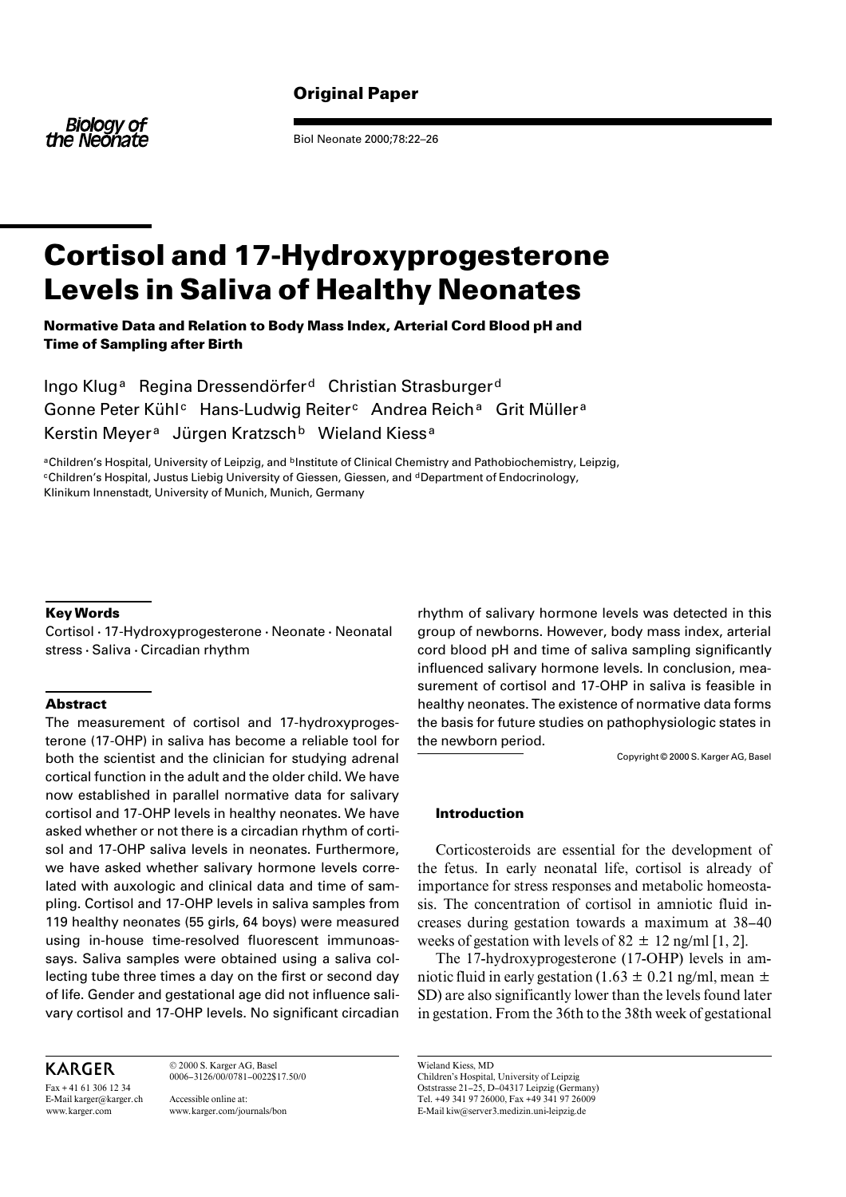## **Original Paper**

**Biology of** the Neonate

Biol Neonate 2000;78:22–26

# **Cortisol and 17-Hydroxyprogesterone Levels in Saliva of Healthy Neonates**

**Normative Data and Relation to Body Mass Index, Arterial Cord Blood pH and Time of Sampling after Birth**

Ingo Klug<sup>a</sup> Regina Dressendörfer<sup>d</sup> Christian Strasburger<sup>d</sup> Gonne Peter Kühl<sup>c</sup> Hans-Ludwig Reiter<sup>c</sup> Andrea Reich<sup>a</sup> Grit Müller<sup>a</sup> Kerstin Meyer<sup>a</sup> Jürgen Kratzsch<sup>b</sup> Wieland Kiess<sup>a</sup>

aChildren's Hospital, University of Leipzig, and **bInstitute of Clinical Chemistry and Pathobiochemistry**, Leipzig, cChildren's Hospital, Justus Liebig University of Giessen, Giessen, and dDepartment of Endocrinology, Klinikum Innenstadt, University of Munich, Munich, Germany

### **Key Words**

Cortisol · 17-Hydroxyprogesterone · Neonate · Neonatal stress · Saliva · Circadian rhythm

#### **Abstract**

The measurement of cortisol and 17-hydroxyprogesterone (17-OHP) in saliva has become a reliable tool for both the scientist and the clinician for studying adrenal cortical function in the adult and the older child. We have now established in parallel normative data for salivary cortisol and 17-OHP levels in healthy neonates. We have asked whether or not there is a circadian rhythm of cortisol and 17-OHP saliva levels in neonates. Furthermore, we have asked whether salivary hormone levels correlated with auxologic and clinical data and time of sampling. Cortisol and 17-OHP levels in saliva samples from 119 healthy neonates (55 girls, 64 boys) were measured using in-house time-resolved fluorescent immunoassays. Saliva samples were obtained using a saliva collecting tube three times a day on the first or second day of life. Gender and gestational age did not influence salivary cortisol and 17-OHP levels. No significant circadian

## **KARGER**

 $Fax + 41613061234$ E-Mail karger@karger.ch www.karger.com

© 2000 S. Karger AG, Basel 0006–3126/00/0781–0022\$17.50/0

Accessible online at: www.karger.com/journals/bon

rhythm of salivary hormone levels was detected in this group of newborns. However, body mass index, arterial cord blood pH and time of saliva sampling significantly influenced salivary hormone levels. In conclusion, measurement of cortisol and 17-OHP in saliva is feasible in healthy neonates. The existence of normative data forms the basis for future studies on pathophysiologic states in the newborn period.

Copyright © 2000 S. Karger AG, Basel

#### **Introduction**

Corticosteroids are essential for the development of the fetus. In early neonatal life, cortisol is already of importance for stress responses and metabolic homeostasis. The concentration of cortisol in amniotic fluid increases during gestation towards a maximum at 38–40 weeks of gestation with levels of  $82 \pm 12$  ng/ml [1, 2].

The 17-hydroxyprogesterone (17-OHP) levels in amniotic fluid in early gestation (1.63  $\pm$  0.21 ng/ml, mean  $\pm$ SD) are also significantly lower than the levels found later in gestation. From the 36th to the 38th week of gestational

Wieland Kiess, MD Children's Hospital, University of Leipzig Oststrasse 21–25, D–04317 Leipzig (Germany) Tel. +49 341 97 26000, Fax +49 341 97 26009 E-Mail kiw@server3.medizin.uni-leipzig.de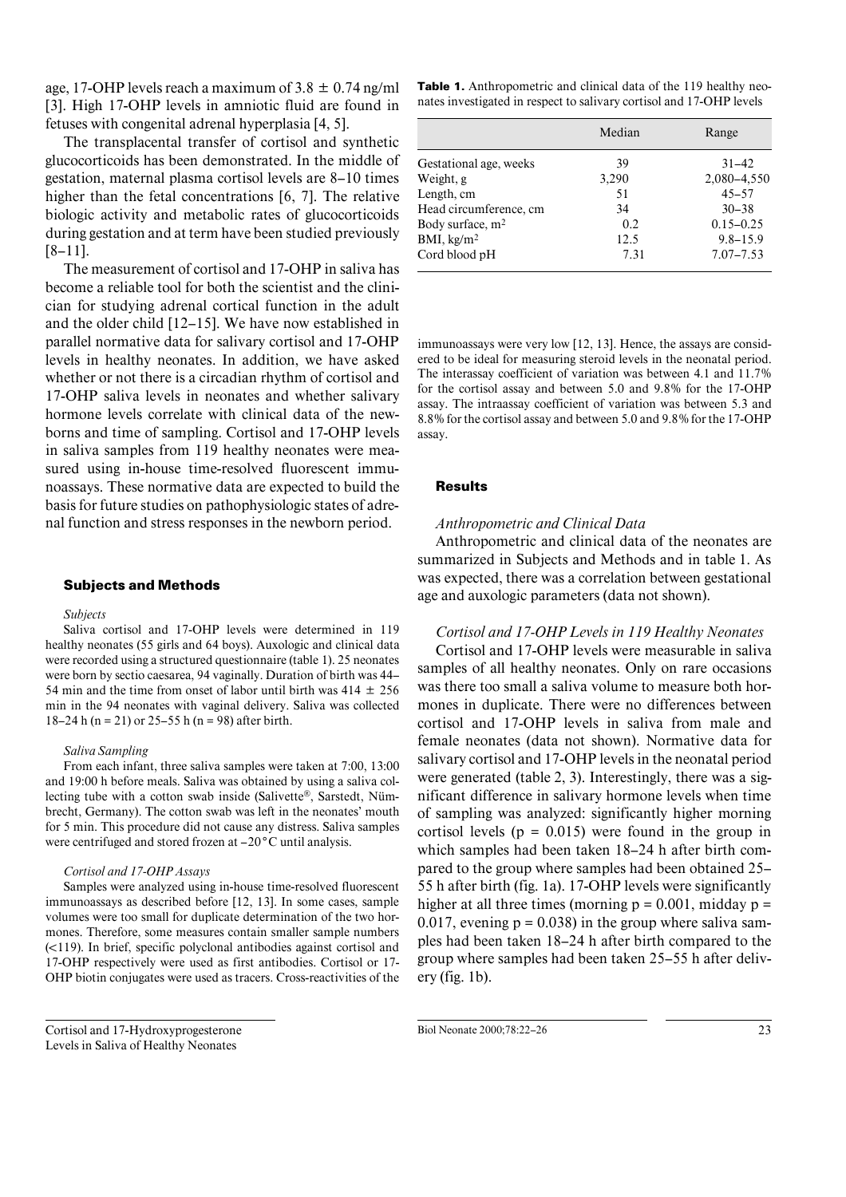age, 17-OHP levels reach a maximum of  $3.8 \pm 0.74$  ng/ml [3]. High 17-OHP levels in amniotic fluid are found in fetuses with congenital adrenal hyperplasia [4, 5].

The transplacental transfer of cortisol and synthetic glucocorticoids has been demonstrated. In the middle of gestation, maternal plasma cortisol levels are 8–10 times higher than the fetal concentrations [6, 7]. The relative biologic activity and metabolic rates of glucocorticoids during gestation and at term have been studied previously [8–11].

The measurement of cortisol and 17-OHP in saliva has become a reliable tool for both the scientist and the clinician for studying adrenal cortical function in the adult and the older child [12–15]. We have now established in parallel normative data for salivary cortisol and 17-OHP levels in healthy neonates. In addition, we have asked whether or not there is a circadian rhythm of cortisol and 17-OHP saliva levels in neonates and whether salivary hormone levels correlate with clinical data of the newborns and time of sampling. Cortisol and 17-OHP levels in saliva samples from 119 healthy neonates were measured using in-house time-resolved fluorescent immunoassays. These normative data are expected to build the basis for future studies on pathophysiologic states of adrenal function and stress responses in the newborn period.

#### **Subjects and Methods**

#### *Subjects*

Saliva cortisol and 17-OHP levels were determined in 119 healthy neonates (55 girls and 64 boys). Auxologic and clinical data were recorded using a structured questionnaire (table 1). 25 neonates were born by sectio caesarea, 94 vaginally. Duration of birth was 44– 54 min and the time from onset of labor until birth was  $414 \pm 256$ min in the 94 neonates with vaginal delivery. Saliva was collected 18–24 h (n = 21) or 25–55 h (n = 98) after birth.

#### *Saliva Sampling*

From each infant, three saliva samples were taken at 7:00, 13:00 and 19:00 h before meals. Saliva was obtained by using a saliva collecting tube with a cotton swab inside (Salivette®, Sarstedt, Nümbrecht, Germany). The cotton swab was left in the neonates' mouth for 5 min. This procedure did not cause any distress. Saliva samples were centrifuged and stored frozen at –20**°**C until analysis.

#### *Cortisol and 17-OHP Assays*

Samples were analyzed using in-house time-resolved fluorescent immunoassays as described before [12, 13]. In some cases, sample volumes were too small for duplicate determination of the two hormones. Therefore, some measures contain smaller sample numbers  $(\leq 119)$ . In brief, specific polyclonal antibodies against cortisol and 17-OHP respectively were used as first antibodies. Cortisol or 17- OHP biotin conjugates were used as tracers. Cross-reactivities of the **Table 1.** Anthropometric and clinical data of the 119 healthy neonates investigated in respect to salivary cortisol and 17-OHP levels

|                        | Median | Range         |
|------------------------|--------|---------------|
| Gestational age, weeks | 39     | $31 - 42$     |
| Weight, g              | 3,290  | 2,080-4,550   |
| Length, cm             | 51     | $45 - 57$     |
| Head circumference, cm | 34     | $30 - 38$     |
| Body surface, $m2$     | 0.2    | $0.15 - 0.25$ |
| BMI, $\text{kg/m}^2$   | 12.5   | $9.8 - 15.9$  |
| Cord blood pH          | 7.31   | $7.07 - 7.53$ |

immunoassays were very low [12, 13]. Hence, the assays are considered to be ideal for measuring steroid levels in the neonatal period. The interassay coefficient of variation was between 4.1 and 11.7% for the cortisol assay and between 5.0 and 9.8% for the 17-OHP assay. The intraassay coefficient of variation was between 5.3 and 8.8% for the cortisol assay and between 5.0 and 9.8% for the 17-OHP assay.

#### **Results**

#### *Anthropometric and Clinical Data*

Anthropometric and clinical data of the neonates are summarized in Subjects and Methods and in table 1. As was expected, there was a correlation between gestational age and auxologic parameters (data not shown).

#### *Cortisol and 17-OHP Levels in 119 Healthy Neonates*

Cortisol and 17-OHP levels were measurable in saliva samples of all healthy neonates. Only on rare occasions was there too small a saliva volume to measure both hormones in duplicate. There were no differences between cortisol and 17-OHP levels in saliva from male and female neonates (data not shown). Normative data for salivary cortisol and 17-OHP levels in the neonatal period were generated (table 2, 3). Interestingly, there was a significant difference in salivary hormone levels when time of sampling was analyzed: significantly higher morning cortisol levels ( $p = 0.015$ ) were found in the group in which samples had been taken 18–24 h after birth compared to the group where samples had been obtained 25– 55 h after birth (fig. 1a). 17-OHP levels were significantly higher at all three times (morning  $p = 0.001$ , midday  $p =$ 0.017, evening  $p = 0.038$  in the group where saliva samples had been taken 18–24 h after birth compared to the group where samples had been taken 25–55 h after delivery (fig. 1b).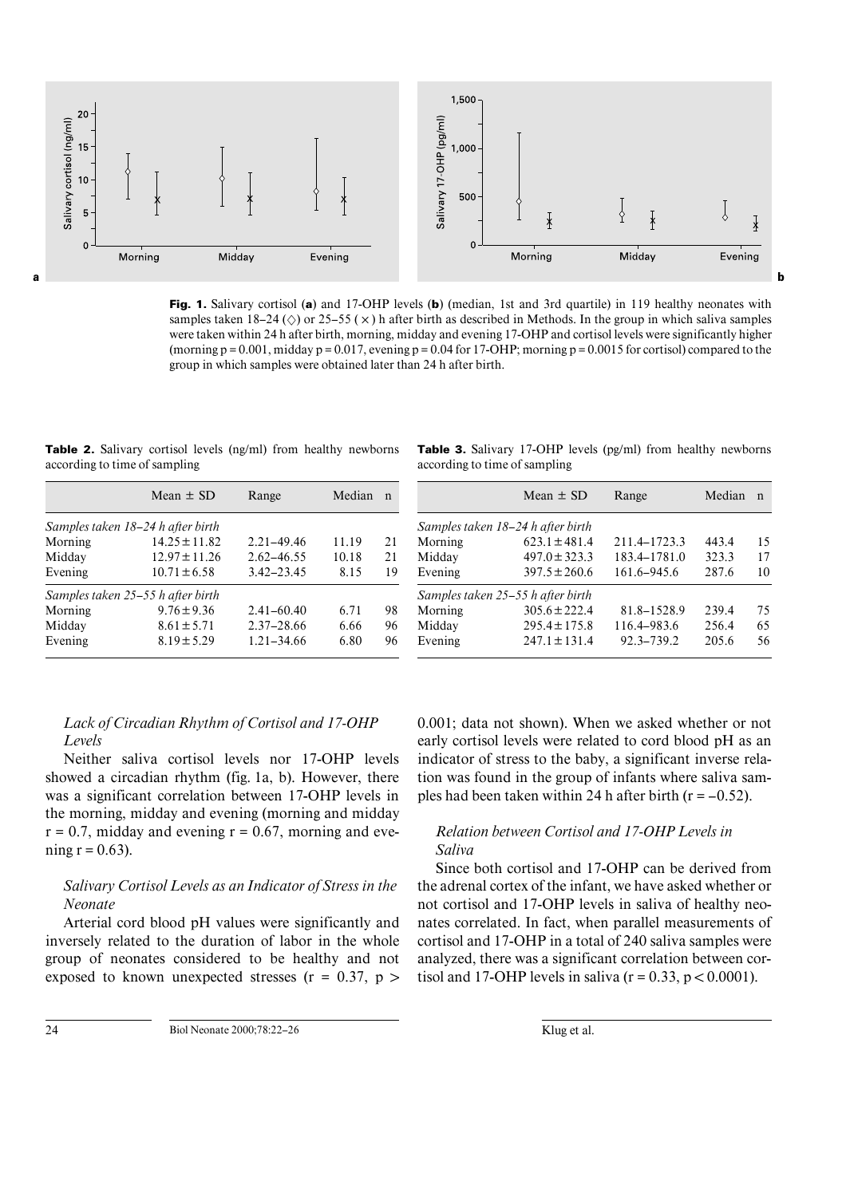

**Fig. 1.** Salivary cortisol (**a**) and 17-OHP levels (**b**) (median, 1st and 3rd quartile) in 119 healthy neonates with samples taken 18–24 ( $\Diamond$ ) or 25–55 ( $\times$ ) h after birth as described in Methods. In the group in which saliva samples were taken within 24 h after birth, morning, midday and evening 17-OHP and cortisol levels were significantly higher (morning  $p = 0.001$ , midday  $p = 0.017$ , evening  $p = 0.04$  for 17-OHP; morning  $p = 0.0015$  for cortisol) compared to the group in which samples were obtained later than 24 h after birth.

**Table 2.** Salivary cortisol levels (ng/ml) from healthy newborns according to time of sampling

|  |                               |  |  | <b>Table 3.</b> Salivary 17-OHP levels (pg/ml) from healthy newborns |
|--|-------------------------------|--|--|----------------------------------------------------------------------|
|  | according to time of sampling |  |  |                                                                      |

|         | Mean $\pm$ SD                     | Range          | Median | n  |         | Mean $\pm$ SD                     |
|---------|-----------------------------------|----------------|--------|----|---------|-----------------------------------|
|         | Samples taken 18–24 h after birth |                |        |    |         | Samples taken 18-24 h after birth |
| Morning | $14.25 \pm 11.82$                 | $2.21 - 49.46$ | 11.19  | 21 | Morning | $623.1 \pm 481.4$                 |
| Midday  | $12.97 \pm 11.26$                 | $2.62 - 46.55$ | 10.18  | 21 | Midday  | $497.0 \pm 323.3$                 |
| Evening | $10.71 \pm 6.58$                  | $3.42 - 23.45$ | 8.15   | 19 | Evening | $397.5 \pm 260.6$                 |
|         | Samples taken 25-55 h after birth |                |        |    |         | Samples taken 25-55 h after birth |
| Morning | $9.76 \pm 9.36$                   | $2.41 - 60.40$ | 6.71   | 98 | Morning | $305.6 \pm 222.4$                 |
| Midday  | $8.61 \pm 5.71$                   | $2.37 - 28.66$ | 6.66   | 96 | Midday  | $295.4 \pm 175.8$                 |
| Evening | $8.19 \pm 5.29$                   | $1.21 - 34.66$ | 6.80   | 96 | Evening | $247.1 \pm 131.4$                 |

|         | Samples taken 18–24 h after birth<br>$623.1 \pm 481.4$ | 211.4–1723.3 | 443.4 | 15 |
|---------|--------------------------------------------------------|--------------|-------|----|
| Morning |                                                        |              |       |    |
|         |                                                        |              |       |    |
| Midday  | $497.0 \pm 323.3$                                      | 183.4-1781.0 | 323.3 | 17 |
| Evening | $397.5 \pm 260.6$                                      | 161.6–945.6  | 287.6 | 10 |
|         | Samples taken 25–55 h after birth                      |              |       |    |
| Morning | $305.6 \pm 222.4$                                      | 81.8-1528.9  | 239.4 | 75 |
| Midday  | $295.4 \pm 175.8$                                      | 116.4–983.6  | 256.4 | 65 |
| Evening | $247.1 \pm 131.4$                                      | 92.3–739.2   | 205.6 | 56 |

## *Lack of Circadian Rhythm of Cortisol and 17-OHP Levels*

Neither saliva cortisol levels nor 17-OHP levels showed a circadian rhythm (fig. 1a, b). However, there was a significant correlation between 17-OHP levels in the morning, midday and evening (morning and midday  $r = 0.7$ , midday and evening  $r = 0.67$ , morning and evening  $r = 0.63$ ).

## *Salivary Cortisol Levels as an Indicator of Stress in the Neonate*

Arterial cord blood pH values were significantly and inversely related to the duration of labor in the whole group of neonates considered to be healthy and not exposed to known unexpected stresses ( $r = 0.37$ ,  $p >$  0.001; data not shown). When we asked whether or not early cortisol levels were related to cord blood pH as an indicator of stress to the baby, a significant inverse relation was found in the group of infants where saliva samples had been taken within 24 h after birth  $(r = -0.52)$ .

## *Relation between Cortisol and 17-OHP Levels in Saliva*

Since both cortisol and 17-OHP can be derived from the adrenal cortex of the infant, we have asked whether or not cortisol and 17-OHP levels in saliva of healthy neonates correlated. In fact, when parallel measurements of cortisol and 17-OHP in a total of 240 saliva samples were analyzed, there was a significant correlation between cortisol and 17-OHP levels in saliva  $(r = 0.33, p < 0.0001)$ .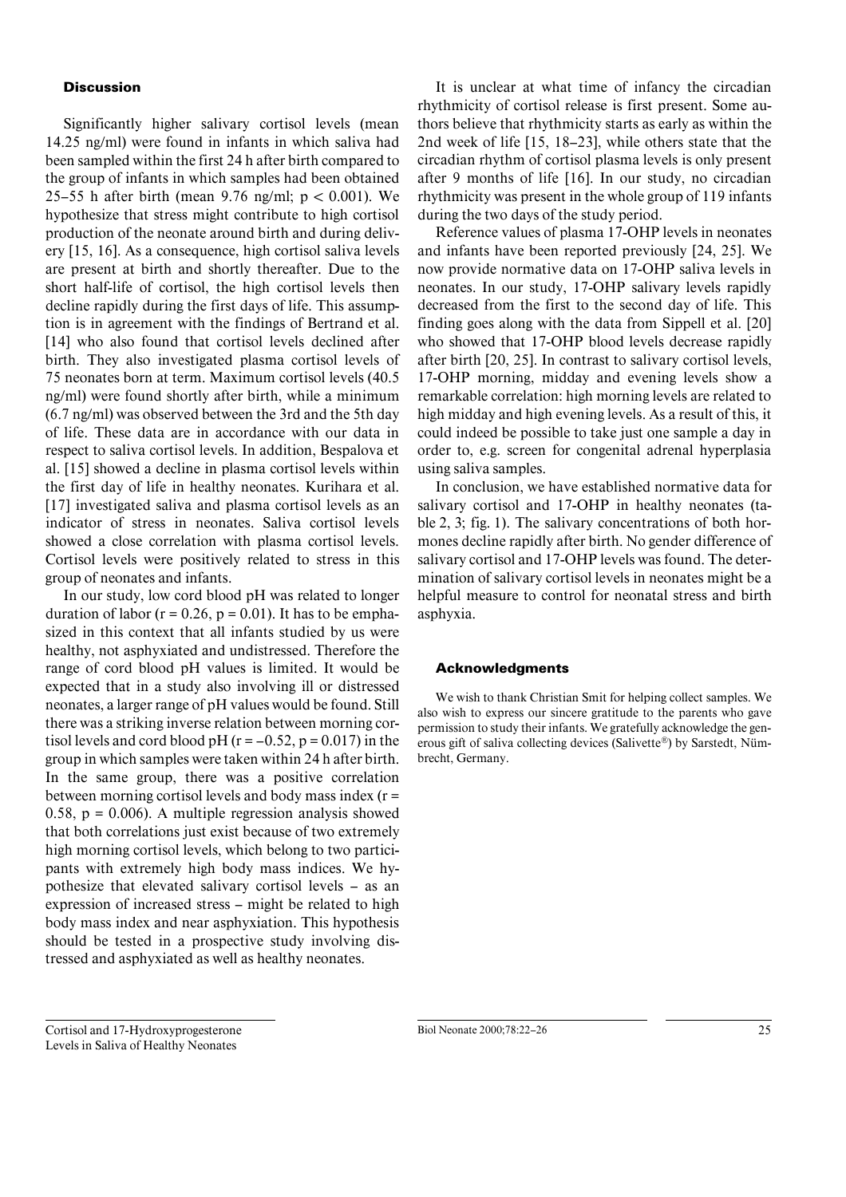#### **Discussion**

Significantly higher salivary cortisol levels (mean 14.25 ng/ml) were found in infants in which saliva had been sampled within the first 24 h after birth compared to the group of infants in which samples had been obtained 25–55 h after birth (mean 9.76 ng/ml;  $p < 0.001$ ). We hypothesize that stress might contribute to high cortisol production of the neonate around birth and during delivery [15, 16]. As a consequence, high cortisol saliva levels are present at birth and shortly thereafter. Due to the short half-life of cortisol, the high cortisol levels then decline rapidly during the first days of life. This assumption is in agreement with the findings of Bertrand et al. [14] who also found that cortisol levels declined after birth. They also investigated plasma cortisol levels of 75 neonates born at term. Maximum cortisol levels (40.5 ng/ml) were found shortly after birth, while a minimum (6.7 ng/ml) was observed between the 3rd and the 5th day of life. These data are in accordance with our data in respect to saliva cortisol levels. In addition, Bespalova et al. [15] showed a decline in plasma cortisol levels within the first day of life in healthy neonates. Kurihara et al. [17] investigated saliva and plasma cortisol levels as an indicator of stress in neonates. Saliva cortisol levels showed a close correlation with plasma cortisol levels. Cortisol levels were positively related to stress in this group of neonates and infants.

In our study, low cord blood pH was related to longer duration of labor ( $r = 0.26$ ,  $p = 0.01$ ). It has to be emphasized in this context that all infants studied by us were healthy, not asphyxiated and undistressed. Therefore the range of cord blood pH values is limited. It would be expected that in a study also involving ill or distressed neonates, a larger range of pH values would be found. Still there was a striking inverse relation between morning cortisol levels and cord blood pH ( $r = -0.52$ ,  $p = 0.017$ ) in the group in which samples were taken within 24 h after birth. In the same group, there was a positive correlation between morning cortisol levels and body mass index (r = 0.58,  $p = 0.006$ ). A multiple regression analysis showed that both correlations just exist because of two extremely high morning cortisol levels, which belong to two participants with extremely high body mass indices. We hypothesize that elevated salivary cortisol levels – as an expression of increased stress – might be related to high body mass index and near asphyxiation. This hypothesis should be tested in a prospective study involving distressed and asphyxiated as well as healthy neonates.

It is unclear at what time of infancy the circadian rhythmicity of cortisol release is first present. Some authors believe that rhythmicity starts as early as within the 2nd week of life [15, 18–23], while others state that the circadian rhythm of cortisol plasma levels is only present after 9 months of life [16]. In our study, no circadian rhythmicity was present in the whole group of 119 infants during the two days of the study period.

Reference values of plasma 17-OHP levels in neonates and infants have been reported previously [24, 25]. We now provide normative data on 17-OHP saliva levels in neonates. In our study, 17-OHP salivary levels rapidly decreased from the first to the second day of life. This finding goes along with the data from Sippell et al. [20] who showed that 17-OHP blood levels decrease rapidly after birth [20, 25]. In contrast to salivary cortisol levels, 17-OHP morning, midday and evening levels show a remarkable correlation: high morning levels are related to high midday and high evening levels. As a result of this, it could indeed be possible to take just one sample a day in order to, e.g. screen for congenital adrenal hyperplasia using saliva samples.

In conclusion, we have established normative data for salivary cortisol and 17-OHP in healthy neonates (table 2, 3; fig. 1). The salivary concentrations of both hormones decline rapidly after birth. No gender difference of salivary cortisol and 17-OHP levels was found. The determination of salivary cortisol levels in neonates might be a helpful measure to control for neonatal stress and birth asphyxia.

#### **Acknowledgments**

We wish to thank Christian Smit for helping collect samples. We also wish to express our sincere gratitude to the parents who gave permission to study their infants. We gratefully acknowledge the generous gift of saliva collecting devices (Salivette®) by Sarstedt, Nümbrecht, Germany.

Cortisol and 17-Hydroxyprogesterone Levels in Saliva of Healthy Neonates